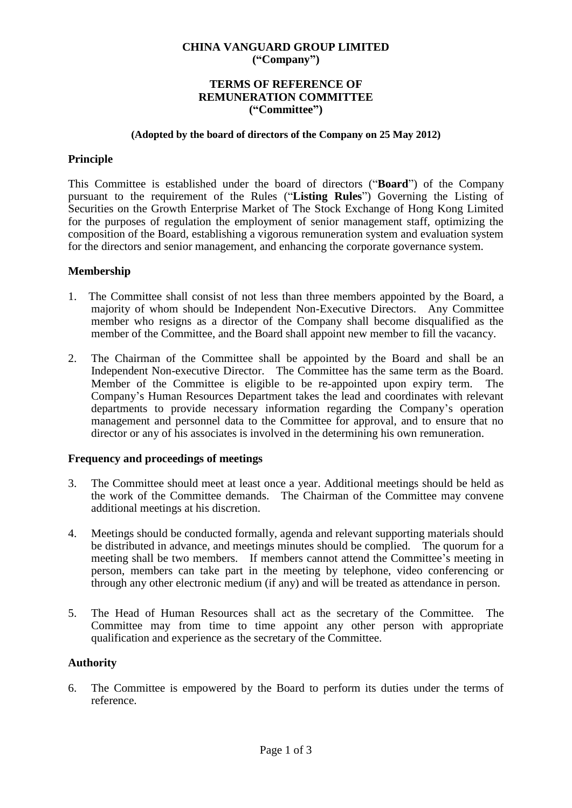## **CHINA VANGUARD GROUP LIMITED ("Company")**

### **TERMS OF REFERENCE OF REMUNERATION COMMITTEE ("Committee")**

#### **(Adopted by the board of directors of the Company on 25 May 2012)**

## **Principle**

This Committee is established under the board of directors ("**Board**") of the Company pursuant to the requirement of the Rules ("**Listing Rules**") Governing the Listing of Securities on the Growth Enterprise Market of The Stock Exchange of Hong Kong Limited for the purposes of regulation the employment of senior management staff, optimizing the composition of the Board, establishing a vigorous remuneration system and evaluation system for the directors and senior management, and enhancing the corporate governance system.

## **Membership**

- 1. The Committee shall consist of not less than three members appointed by the Board, a majority of whom should be Independent Non-Executive Directors. Any Committee member who resigns as a director of the Company shall become disqualified as the member of the Committee, and the Board shall appoint new member to fill the vacancy.
- 2. The Chairman of the Committee shall be appointed by the Board and shall be an Independent Non-executive Director. The Committee has the same term as the Board. Member of the Committee is eligible to be re-appointed upon expiry term. The Company's Human Resources Department takes the lead and coordinates with relevant departments to provide necessary information regarding the Company's operation management and personnel data to the Committee for approval, and to ensure that no director or any of his associates is involved in the determining his own remuneration.

## **Frequency and proceedings of meetings**

- 3. The Committee should meet at least once a year. Additional meetings should be held as the work of the Committee demands. The Chairman of the Committee may convene additional meetings at his discretion.
- 4. Meetings should be conducted formally, agenda and relevant supporting materials should be distributed in advance, and meetings minutes should be complied. The quorum for a meeting shall be two members. If members cannot attend the Committee's meeting in person, members can take part in the meeting by telephone, video conferencing or through any other electronic medium (if any) and will be treated as attendance in person.
- 5. The Head of Human Resources shall act as the secretary of the Committee. The Committee may from time to time appoint any other person with appropriate qualification and experience as the secretary of the Committee.

## **Authority**

6. The Committee is empowered by the Board to perform its duties under the terms of reference.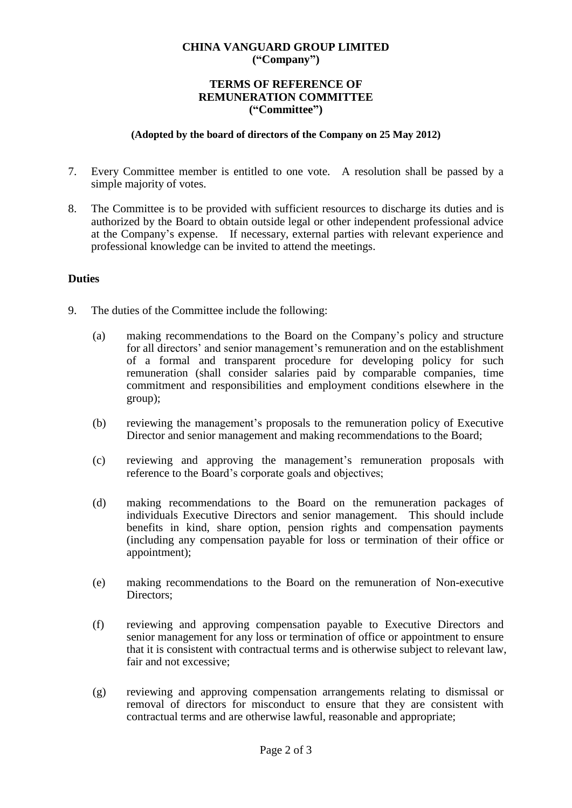# **CHINA VANGUARD GROUP LIMITED ("Company")**

### **TERMS OF REFERENCE OF REMUNERATION COMMITTEE ("Committee")**

#### **(Adopted by the board of directors of the Company on 25 May 2012)**

- 7. Every Committee member is entitled to one vote. A resolution shall be passed by a simple majority of votes.
- 8. The Committee is to be provided with sufficient resources to discharge its duties and is authorized by the Board to obtain outside legal or other independent professional advice at the Company's expense. If necessary, external parties with relevant experience and professional knowledge can be invited to attend the meetings.

## **Duties**

- 9. The duties of the Committee include the following:
	- (a) making recommendations to the Board on the Company's policy and structure for all directors' and senior management's remuneration and on the establishment of a formal and transparent procedure for developing policy for such remuneration (shall consider salaries paid by comparable companies, time commitment and responsibilities and employment conditions elsewhere in the group);
	- (b) reviewing the management's proposals to the remuneration policy of Executive Director and senior management and making recommendations to the Board;
	- (c) reviewing and approving the management's remuneration proposals with reference to the Board's corporate goals and objectives;
	- (d) making recommendations to the Board on the remuneration packages of individuals Executive Directors and senior management. This should include benefits in kind, share option, pension rights and compensation payments (including any compensation payable for loss or termination of their office or appointment);
	- (e) making recommendations to the Board on the remuneration of Non-executive Directors:
	- (f) reviewing and approving compensation payable to Executive Directors and senior management for any loss or termination of office or appointment to ensure that it is consistent with contractual terms and is otherwise subject to relevant law, fair and not excessive;
	- (g) reviewing and approving compensation arrangements relating to dismissal or removal of directors for misconduct to ensure that they are consistent with contractual terms and are otherwise lawful, reasonable and appropriate;